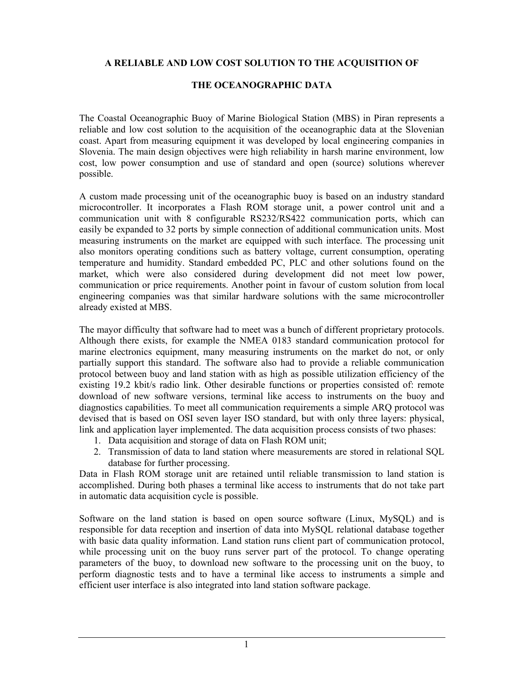## **A RELIABLE AND LOW COST SOLUTION TO THE ACQUISITION OF**

## **THE OCEANOGRAPHIC DATA**

The [Coastal Oceanographic Buoy](http://buoy.mbss.org) of [Marine Biological Station \(MBS\)](http://www.mbss.org) in Piran represents a reliable and low cost solution to the acquisition of the oceanographic data at the Slovenian coast. Apart from measuring equipment it was developed by local engineering companies in Slovenia. The main design objectives were high reliability in harsh marine environment, low cost, low power consumption and use of standard and open (source) solutions wherever possible.

A custom made processing unit of the oceanographic buoy is based on an industry standard microcontroller. It incorporates a Flash ROM storage unit, a power control unit and a communication unit with 8 configurable RS232/RS422 communication ports, which can easily be expanded to 32 ports by simple connection of additional communication units. Most measuring instruments on the market are equipped with such interface. The processing unit also monitors operating conditions such as battery voltage, current consumption, operating temperature and humidity. Standard embedded PC, PLC and other solutions found on the market, which were also considered during development did not meet low power, communication or price requirements. Another point in favour of custom solution from local engineering companies was that similar hardware solutions with the same microcontroller already existed at MBS.

The mayor difficulty that software had to meet was a bunch of different proprietary protocols. Although there exists, for example the NMEA 0183 standard communication protocol for marine electronics equipment, many measuring instruments on the market do not, or only partially support this standard. The software also had to provide a reliable communication protocol between buoy and land station with as high as possible utilization efficiency of the existing 19.2 kbit/s radio link. Other desirable functions or properties consisted of: remote download of new software versions, terminal like access to instruments on the buoy and diagnostics capabilities. To meet all communication requirements a simple ARQ protocol was devised that is based on OSI seven layer ISO standard, but with only three layers: physical, link and application layer implemented. The data acquisition process consists of two phases:

- 1. Data acquisition and storage of data on Flash ROM unit;
- 2. Transmission of data to land station where measurements are stored in relational SQL database for further processing.

Data in Flash ROM storage unit are retained until reliable transmission to land station is accomplished. During both phases a terminal like access to instruments that do not take part in automatic data acquisition cycle is possible.

Software on the land station is based on open source software (Linux, MySQL) and is responsible for data reception and insertion of data into MySQL relational database together with basic data quality information. Land station runs client part of communication protocol, while processing unit on the buoy runs server part of the protocol. To change operating parameters of the buoy, to download new software to the processing unit on the buoy, to perform diagnostic tests and to have a terminal like access to instruments a simple and efficient user interface is also integrated into land station software package.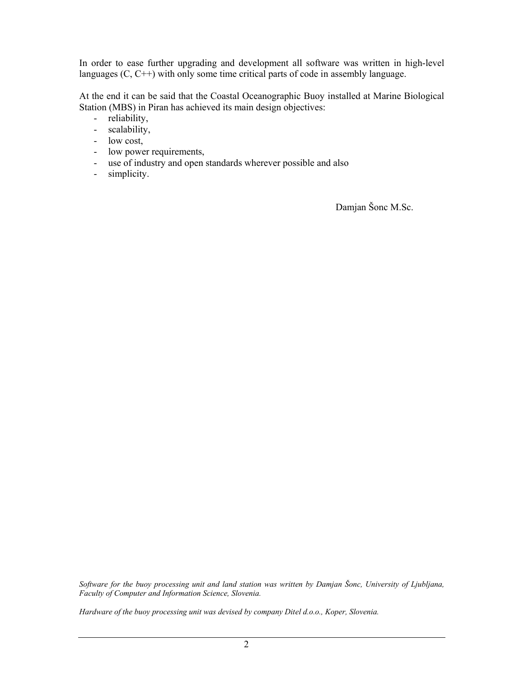In order to ease further upgrading and development all software was written in high-level languages (C, C++) with only some time critical parts of code in assembly language.

At the end it can be said that the Coastal Oceanographic Buoy installed at Marine Biological Station (MBS) in Piran has achieved its main design objectives:

- reliability,
- scalability,
- low cost,
- low power requirements,
- use of industry and open standards wherever possible and also
- simplicity.

Damjan Šonc M.Sc.

*Software for the buoy processing unit and land station was written by Damjan Šonc, University of Ljubljana, Faculty of Computer and Information Science, Slovenia.* 

*Hardware of the buoy processing unit was devised by company Ditel d.o.o., Koper, Slovenia.*